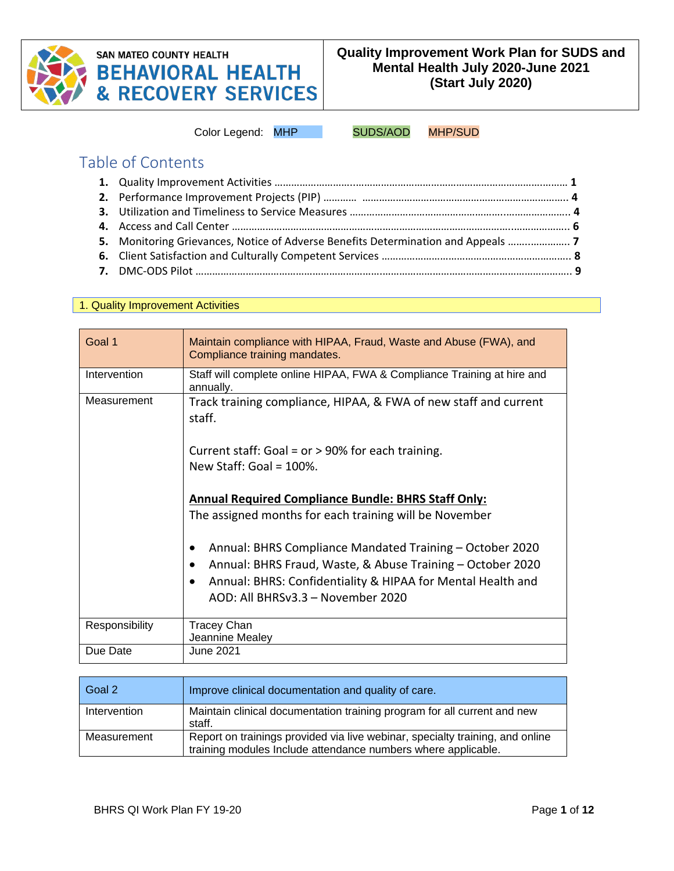

# **SAN MATEO COUNTY HEALTH BEHAVIORAL HEALTH<br>& RECOVERY SERVICES**

Color Legend: MHP SUDS/AOD MHP/SUD

## Table of Contents

| 5. Monitoring Grievances, Notice of Adverse Benefits Determination and Appeals |
|--------------------------------------------------------------------------------|

#### 1. Quality Improvement Activities

| Goal 1         | Maintain compliance with HIPAA, Fraud, Waste and Abuse (FWA), and<br>Compliance training mandates.                                                                                                                         |
|----------------|----------------------------------------------------------------------------------------------------------------------------------------------------------------------------------------------------------------------------|
| Intervention   | Staff will complete online HIPAA, FWA & Compliance Training at hire and<br>annually.                                                                                                                                       |
| Measurement    | Track training compliance, HIPAA, & FWA of new staff and current<br>staff.                                                                                                                                                 |
|                | Current staff: Goal = $or$ > 90% for each training.<br>New Staff: Goal = $100\%$ .                                                                                                                                         |
|                | <b>Annual Required Compliance Bundle: BHRS Staff Only:</b><br>The assigned months for each training will be November                                                                                                       |
|                | Annual: BHRS Compliance Mandated Training – October 2020<br>Annual: BHRS Fraud, Waste, & Abuse Training - October 2020<br>Annual: BHRS: Confidentiality & HIPAA for Mental Health and<br>AOD: All BHRSv3.3 - November 2020 |
| Responsibility | <b>Tracey Chan</b><br>Jeannine Mealey                                                                                                                                                                                      |
| Due Date       | June 2021                                                                                                                                                                                                                  |

| Goal 2       | Improve clinical documentation and quality of care.                                                                                            |
|--------------|------------------------------------------------------------------------------------------------------------------------------------------------|
| Intervention | Maintain clinical documentation training program for all current and new<br>staff.                                                             |
| Measurement  | Report on trainings provided via live webinar, specialty training, and online<br>training modules Include attendance numbers where applicable. |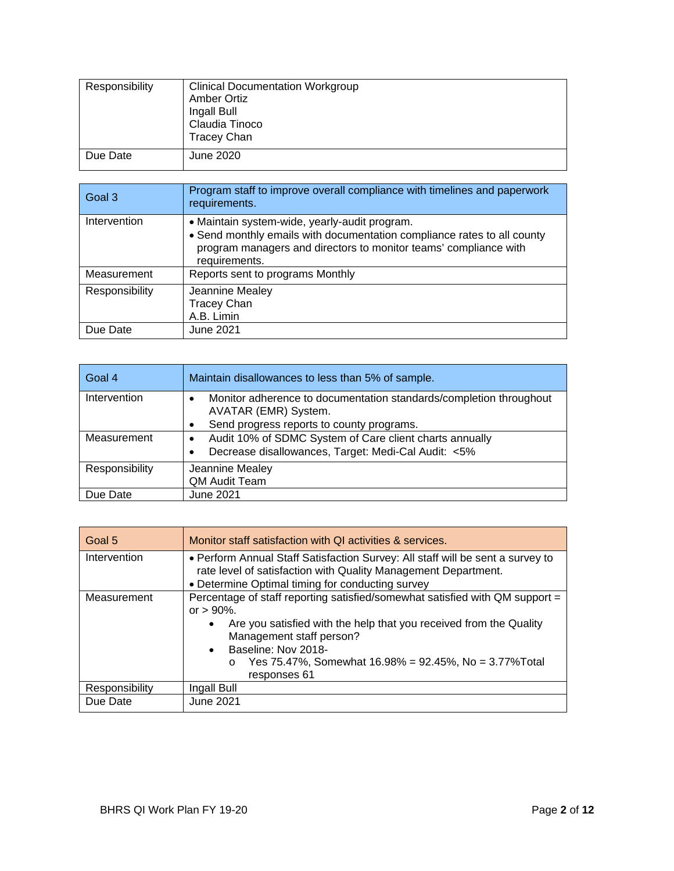| Responsibility | <b>Clinical Documentation Workgroup</b><br><b>Amber Ortiz</b><br>Ingall Bull<br>Claudia Tinoco<br><b>Tracey Chan</b> |
|----------------|----------------------------------------------------------------------------------------------------------------------|
| Due Date       | June 2020                                                                                                            |

| Goal 3         | Program staff to improve overall compliance with timelines and paperwork<br>requirements.                                                                                                                     |
|----------------|---------------------------------------------------------------------------------------------------------------------------------------------------------------------------------------------------------------|
| Intervention   | • Maintain system-wide, yearly-audit program.<br>• Send monthly emails with documentation compliance rates to all county<br>program managers and directors to monitor teams' compliance with<br>requirements. |
| Measurement    | Reports sent to programs Monthly                                                                                                                                                                              |
| Responsibility | Jeannine Mealey<br><b>Tracey Chan</b><br>A.B. Limin                                                                                                                                                           |
| Due Date       | June 2021                                                                                                                                                                                                     |

| l Goal 4       | Maintain disallowances to less than 5% of sample.                                          |
|----------------|--------------------------------------------------------------------------------------------|
| Intervention   | Monitor adherence to documentation standards/completion throughout<br>AVATAR (EMR) System. |
|                | Send progress reports to county programs.                                                  |
| Measurement    | Audit 10% of SDMC System of Care client charts annually                                    |
|                | Decrease disallowances, Target: Medi-Cal Audit: <5%                                        |
| Responsibility | Jeannine Mealey                                                                            |
|                | QM Audit Team                                                                              |
| Due Date       | June 2021                                                                                  |

| Goal 5         | Monitor staff satisfaction with QI activities & services.                                                                                                                                                                                                                                                     |
|----------------|---------------------------------------------------------------------------------------------------------------------------------------------------------------------------------------------------------------------------------------------------------------------------------------------------------------|
| Intervention   | • Perform Annual Staff Satisfaction Survey: All staff will be sent a survey to<br>rate level of satisfaction with Quality Management Department.<br>• Determine Optimal timing for conducting survey                                                                                                          |
| Measurement    | Percentage of staff reporting satisfied/somewhat satisfied with QM support =<br>or $> 90\%$ .<br>Are you satisfied with the help that you received from the Quality<br>Management staff person?<br>• Baseline: Nov 2018-<br>Yes 75.47%, Somewhat 16.98% = 92.45%, No = 3.77% Total<br>$\circ$<br>responses 61 |
| Responsibility | Ingall Bull                                                                                                                                                                                                                                                                                                   |
| Due Date       | June 2021                                                                                                                                                                                                                                                                                                     |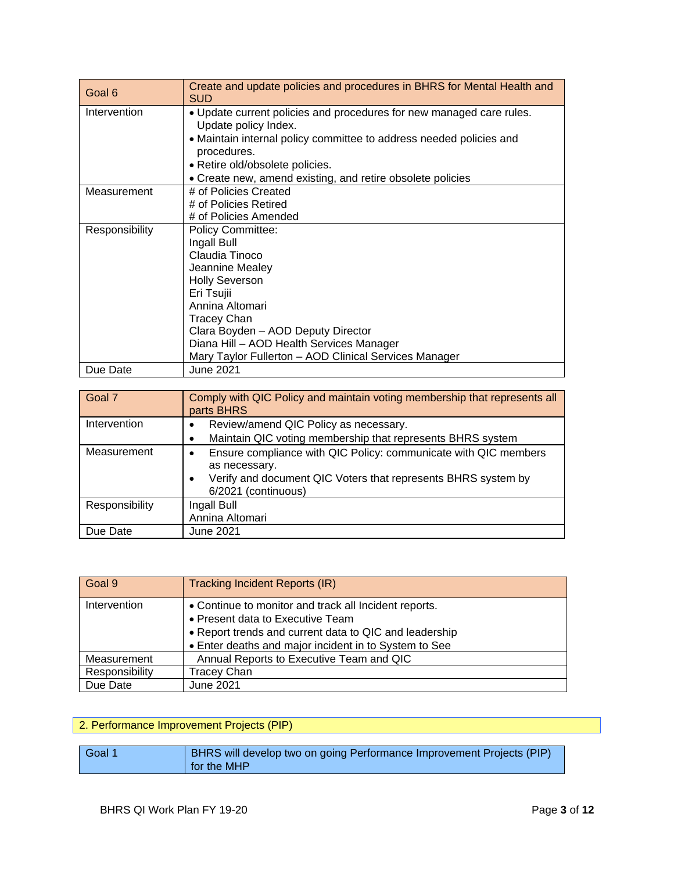| Goal 6         | Create and update policies and procedures in BHRS for Mental Health and<br><b>SUD</b>        |
|----------------|----------------------------------------------------------------------------------------------|
| Intervention   | • Update current policies and procedures for new managed care rules.<br>Update policy Index. |
|                | • Maintain internal policy committee to address needed policies and<br>procedures.           |
|                | · Retire old/obsolete policies.                                                              |
|                | • Create new, amend existing, and retire obsolete policies                                   |
| Measurement    | # of Policies Created                                                                        |
|                | # of Policies Retired                                                                        |
|                | # of Policies Amended                                                                        |
| Responsibility | <b>Policy Committee:</b>                                                                     |
|                | Ingall Bull                                                                                  |
|                | Claudia Tinoco                                                                               |
|                | Jeannine Mealey                                                                              |
|                | <b>Holly Severson</b>                                                                        |
|                | Eri Tsujii                                                                                   |
|                | Annina Altomari                                                                              |
|                | <b>Tracey Chan</b>                                                                           |
|                | Clara Boyden - AOD Deputy Director                                                           |
|                | Diana Hill - AOD Health Services Manager                                                     |
|                | Mary Taylor Fullerton - AOD Clinical Services Manager                                        |
| Due Date       | June 2021                                                                                    |

| Goal 7         | Comply with QIC Policy and maintain voting membership that represents all<br>parts BHRS                                                                                                            |
|----------------|----------------------------------------------------------------------------------------------------------------------------------------------------------------------------------------------------|
| Intervention   | Review/amend QIC Policy as necessary.<br>٠<br>Maintain QIC voting membership that represents BHRS system                                                                                           |
| Measurement    | Ensure compliance with QIC Policy: communicate with QIC members<br>$\bullet$<br>as necessary.<br>Verify and document QIC Voters that represents BHRS system by<br>$\bullet$<br>6/2021 (continuous) |
| Responsibility | Ingall Bull<br>Annina Altomari                                                                                                                                                                     |
| Due Date       | June 2021                                                                                                                                                                                          |

| Goal 9         | <b>Tracking Incident Reports (IR)</b>                  |
|----------------|--------------------------------------------------------|
| Intervention   | • Continue to monitor and track all Incident reports.  |
|                | • Present data to Executive Team                       |
|                | • Report trends and current data to QIC and leadership |
|                | • Enter deaths and major incident in to System to See  |
| Measurement    | Annual Reports to Executive Team and QIC               |
| Responsibility | <b>Tracey Chan</b>                                     |
| Due Date       | <b>June 2021</b>                                       |

#### 2. Performance Improvement Projects (PIP)

| Goal 1 | BHRS will develop two on going Performance Improvement Projects (PIP) |
|--------|-----------------------------------------------------------------------|
|        | for the MHP                                                           |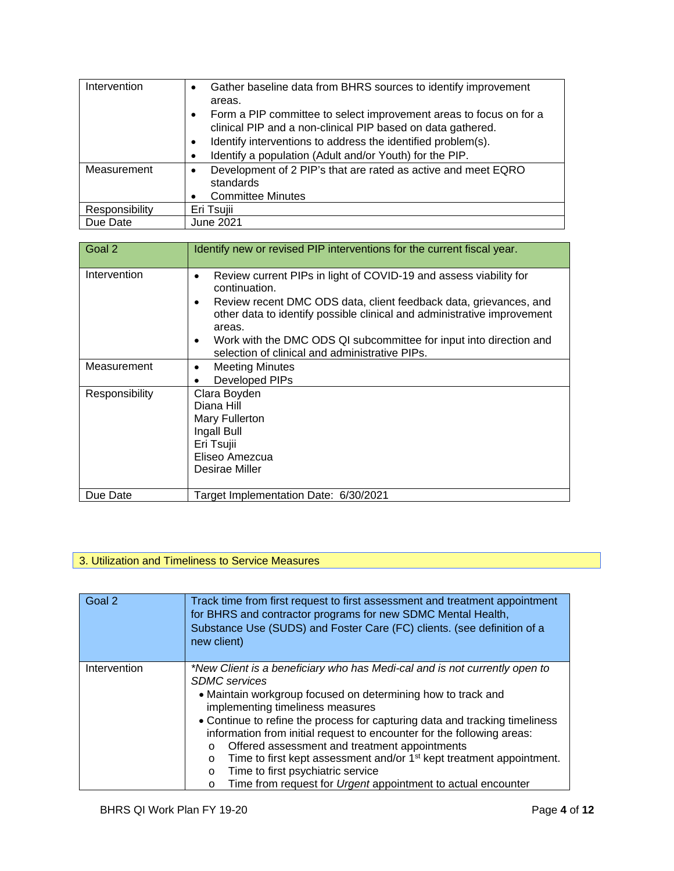| Intervention   | Gather baseline data from BHRS sources to identify improvement<br>$\bullet$<br>areas.                                                          |
|----------------|------------------------------------------------------------------------------------------------------------------------------------------------|
|                | Form a PIP committee to select improvement areas to focus on for a<br>$\bullet$<br>clinical PIP and a non-clinical PIP based on data gathered. |
|                | Identify interventions to address the identified problem(s).<br>$\bullet$                                                                      |
|                | Identify a population (Adult and/or Youth) for the PIP.<br>$\bullet$                                                                           |
| Measurement    | Development of 2 PIP's that are rated as active and meet EQRO<br>$\bullet$<br>standards                                                        |
|                | <b>Committee Minutes</b><br>$\bullet$                                                                                                          |
| Responsibility | Eri Tsujii                                                                                                                                     |
| Due Date       | June 2021                                                                                                                                      |

| Goal 2         | Identify new or revised PIP interventions for the current fiscal year.                                                                                                                                                                                                                                                                                                         |
|----------------|--------------------------------------------------------------------------------------------------------------------------------------------------------------------------------------------------------------------------------------------------------------------------------------------------------------------------------------------------------------------------------|
| Intervention   | Review current PIPs in light of COVID-19 and assess viability for<br>٠<br>continuation.<br>Review recent DMC ODS data, client feedback data, grievances, and<br>other data to identify possible clinical and administrative improvement<br>areas.<br>Work with the DMC ODS QI subcommittee for input into direction and<br>٠<br>selection of clinical and administrative PIPs. |
| Measurement    | <b>Meeting Minutes</b><br>٠<br>Developed PIPs                                                                                                                                                                                                                                                                                                                                  |
| Responsibility | Clara Boyden<br>Diana Hill<br>Mary Fullerton<br>Ingall Bull<br>Eri Tsujii<br>Eliseo Amezcua<br>Desirae Miller                                                                                                                                                                                                                                                                  |
| Due Date       | Target Implementation Date: 6/30/2021                                                                                                                                                                                                                                                                                                                                          |

## 3. Utilization and Timeliness to Service Measures

| Goal 2       | Track time from first request to first assessment and treatment appointment<br>for BHRS and contractor programs for new SDMC Mental Health,<br>Substance Use (SUDS) and Foster Care (FC) clients. (see definition of a<br>new client)                                                                                                                                                                                                                                                                                                                                                                                                                 |
|--------------|-------------------------------------------------------------------------------------------------------------------------------------------------------------------------------------------------------------------------------------------------------------------------------------------------------------------------------------------------------------------------------------------------------------------------------------------------------------------------------------------------------------------------------------------------------------------------------------------------------------------------------------------------------|
| Intervention | *New Client is a beneficiary who has Medi-cal and is not currently open to<br><b>SDMC</b> services<br>• Maintain workgroup focused on determining how to track and<br>implementing timeliness measures<br>• Continue to refine the process for capturing data and tracking timeliness<br>information from initial request to encounter for the following areas:<br>Offered assessment and treatment appointments<br>$\circ$<br>Time to first kept assessment and/or 1 <sup>st</sup> kept treatment appointment.<br>$\circ$<br>Time to first psychiatric service<br>$\circ$<br>Time from request for Urgent appointment to actual encounter<br>$\circ$ |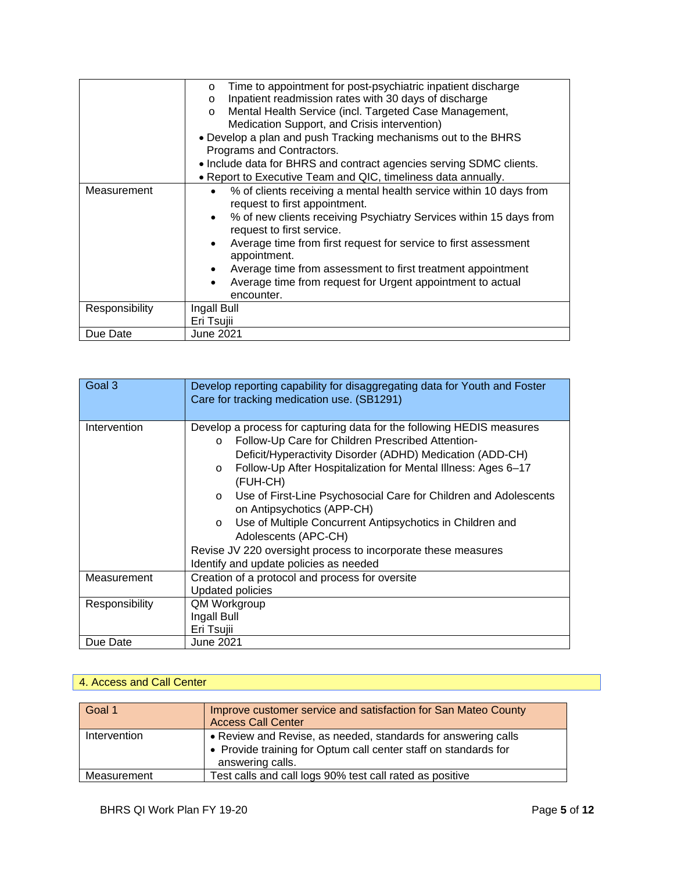|                | Time to appointment for post-psychiatric inpatient discharge<br>$\circ$                                          |
|----------------|------------------------------------------------------------------------------------------------------------------|
|                | Inpatient readmission rates with 30 days of discharge<br>$\circ$                                                 |
|                | Mental Health Service (incl. Targeted Case Management,<br>$\circ$                                                |
|                | Medication Support, and Crisis intervention)                                                                     |
|                | • Develop a plan and push Tracking mechanisms out to the BHRS                                                    |
|                | Programs and Contractors.                                                                                        |
|                | • Include data for BHRS and contract agencies serving SDMC clients.                                              |
|                | • Report to Executive Team and QIC, timeliness data annually.                                                    |
| Measurement    | % of clients receiving a mental health service within 10 days from<br>$\bullet$<br>request to first appointment. |
|                | % of new clients receiving Psychiatry Services within 15 days from<br>$\bullet$<br>request to first service.     |
|                | Average time from first request for service to first assessment<br>$\bullet$<br>appointment.                     |
|                | Average time from assessment to first treatment appointment<br>٠                                                 |
|                | Average time from request for Urgent appointment to actual<br>٠                                                  |
|                | encounter.                                                                                                       |
| Responsibility | Ingall Bull                                                                                                      |
|                | Eri Tsujii                                                                                                       |
| Due Date       | <b>June 2021</b>                                                                                                 |

| Goal 3         | Develop reporting capability for disaggregating data for Youth and Foster<br>Care for tracking medication use. (SB1291)                                                                                                                                                                                                                                                                                                                                                                                                                                                                                            |
|----------------|--------------------------------------------------------------------------------------------------------------------------------------------------------------------------------------------------------------------------------------------------------------------------------------------------------------------------------------------------------------------------------------------------------------------------------------------------------------------------------------------------------------------------------------------------------------------------------------------------------------------|
|                |                                                                                                                                                                                                                                                                                                                                                                                                                                                                                                                                                                                                                    |
| Intervention   | Develop a process for capturing data for the following HEDIS measures<br>Follow-Up Care for Children Prescribed Attention-<br>$\circ$<br>Deficit/Hyperactivity Disorder (ADHD) Medication (ADD-CH)<br>Follow-Up After Hospitalization for Mental Illness: Ages 6-17<br>$\circ$<br>(FUH-CH)<br>Use of First-Line Psychosocial Care for Children and Adolescents<br>$\circ$<br>on Antipsychotics (APP-CH)<br>Use of Multiple Concurrent Antipsychotics in Children and<br>$\circ$<br>Adolescents (APC-CH)<br>Revise JV 220 oversight process to incorporate these measures<br>Identify and update policies as needed |
| Measurement    | Creation of a protocol and process for oversite<br><b>Updated policies</b>                                                                                                                                                                                                                                                                                                                                                                                                                                                                                                                                         |
| Responsibility | QM Workgroup                                                                                                                                                                                                                                                                                                                                                                                                                                                                                                                                                                                                       |
|                | Ingall Bull                                                                                                                                                                                                                                                                                                                                                                                                                                                                                                                                                                                                        |
|                | Eri Tsujii                                                                                                                                                                                                                                                                                                                                                                                                                                                                                                                                                                                                         |
| Due Date       | June 2021                                                                                                                                                                                                                                                                                                                                                                                                                                                                                                                                                                                                          |

## 4. Access and Call Center

| Goal 1       | Improve customer service and satisfaction for San Mateo County<br><b>Access Call Center</b>                                                          |
|--------------|------------------------------------------------------------------------------------------------------------------------------------------------------|
| Intervention | • Review and Revise, as needed, standards for answering calls<br>• Provide training for Optum call center staff on standards for<br>answering calls. |
| Measurement  | Test calls and call logs 90% test call rated as positive                                                                                             |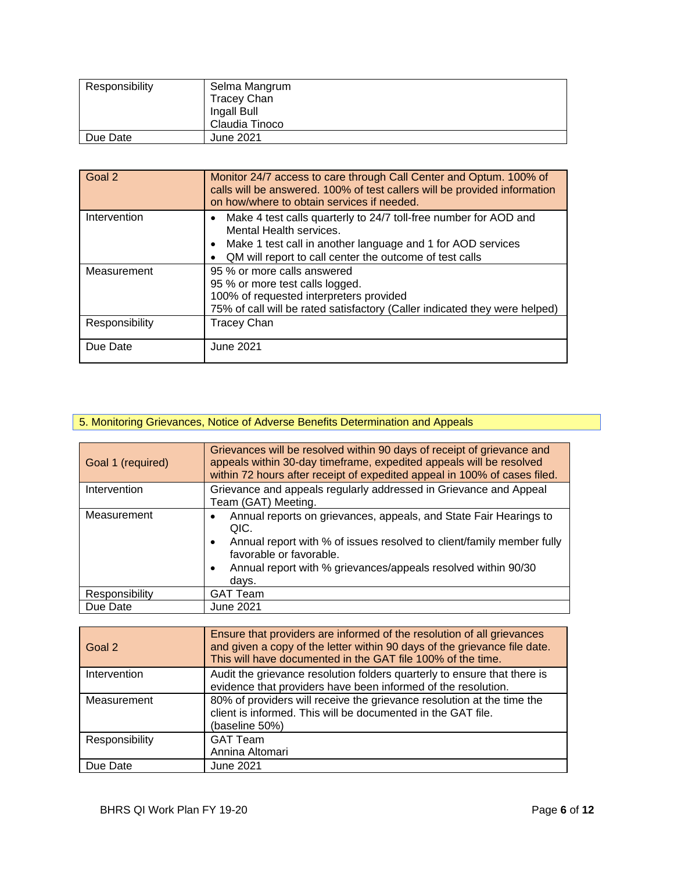| Responsibility | Selma Mangrum<br>Tracey Chan<br>Ingall Bull<br>Claudia Tinoco |
|----------------|---------------------------------------------------------------|
| Due Date       | June 2021                                                     |

| Goal 2         | Monitor 24/7 access to care through Call Center and Optum. 100% of<br>calls will be answered. 100% of test callers will be provided information<br>on how/where to obtain services if needed.                                      |
|----------------|------------------------------------------------------------------------------------------------------------------------------------------------------------------------------------------------------------------------------------|
| Intervention   | Make 4 test calls quarterly to 24/7 toll-free number for AOD and<br>Mental Health services.<br>Make 1 test call in another language and 1 for AOD services<br>$\bullet$<br>QM will report to call center the outcome of test calls |
| Measurement    | 95 % or more calls answered<br>95 % or more test calls logged.<br>100% of requested interpreters provided<br>75% of call will be rated satisfactory (Caller indicated they were helped)                                            |
| Responsibility | <b>Tracey Chan</b>                                                                                                                                                                                                                 |
| Due Date       | June 2021                                                                                                                                                                                                                          |

#### 5. Monitoring Grievances, Notice of Adverse Benefits Determination and Appeals

| Goal 1 (required) | Grievances will be resolved within 90 days of receipt of grievance and<br>appeals within 30-day timeframe, expedited appeals will be resolved<br>within 72 hours after receipt of expedited appeal in 100% of cases filed.                                                        |
|-------------------|-----------------------------------------------------------------------------------------------------------------------------------------------------------------------------------------------------------------------------------------------------------------------------------|
| Intervention      | Grievance and appeals regularly addressed in Grievance and Appeal<br>Team (GAT) Meeting.                                                                                                                                                                                          |
| Measurement       | Annual reports on grievances, appeals, and State Fair Hearings to<br>QIC.<br>Annual report with % of issues resolved to client/family member fully<br>$\bullet$<br>favorable or favorable.<br>Annual report with % grievances/appeals resolved within 90/30<br>$\bullet$<br>days. |
| Responsibility    | <b>GAT Team</b>                                                                                                                                                                                                                                                                   |
| Due Date          | <b>June 2021</b>                                                                                                                                                                                                                                                                  |

| Goal 2         | Ensure that providers are informed of the resolution of all grievances<br>and given a copy of the letter within 90 days of the grievance file date.<br>This will have documented in the GAT file 100% of the time. |
|----------------|--------------------------------------------------------------------------------------------------------------------------------------------------------------------------------------------------------------------|
| Intervention   | Audit the grievance resolution folders quarterly to ensure that there is<br>evidence that providers have been informed of the resolution.                                                                          |
| Measurement    | 80% of providers will receive the grievance resolution at the time the<br>client is informed. This will be documented in the GAT file.<br>(baseline 50%)                                                           |
| Responsibility | <b>GAT Team</b><br>Annina Altomari                                                                                                                                                                                 |
| Due Date       | <b>June 2021</b>                                                                                                                                                                                                   |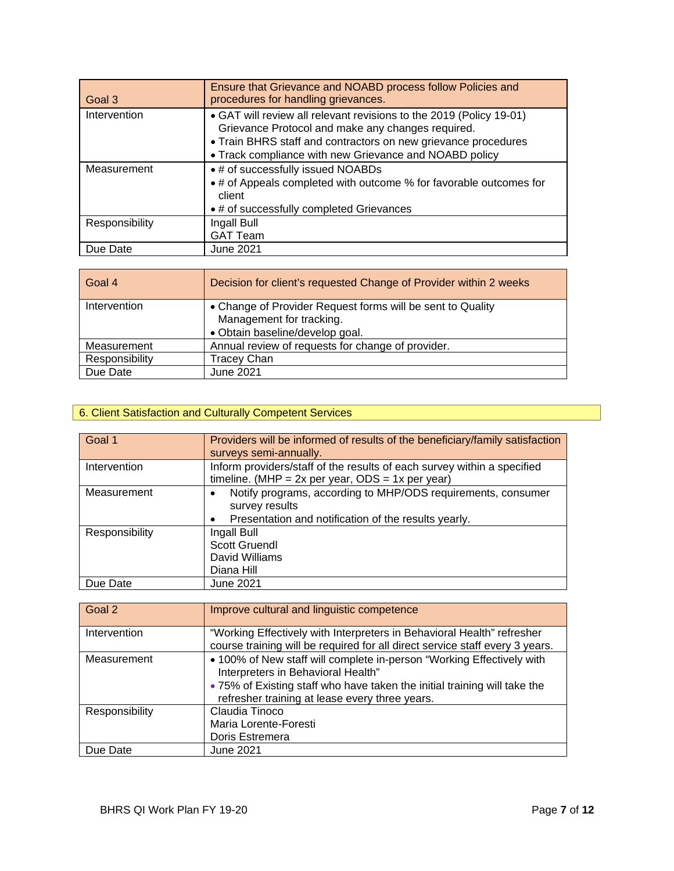| Goal 3         | Ensure that Grievance and NOABD process follow Policies and<br>procedures for handling grievances.                                                                                                                                                   |
|----------------|------------------------------------------------------------------------------------------------------------------------------------------------------------------------------------------------------------------------------------------------------|
| Intervention   | • GAT will review all relevant revisions to the 2019 (Policy 19-01)<br>Grievance Protocol and make any changes required.<br>• Train BHRS staff and contractors on new grievance procedures<br>• Track compliance with new Grievance and NOABD policy |
| Measurement    | • # of successfully issued NOABDs<br>• # of Appeals completed with outcome % for favorable outcomes for<br>client<br>• # of successfully completed Grievances                                                                                        |
| Responsibility | Ingall Bull<br><b>GAT Team</b>                                                                                                                                                                                                                       |
| Due Date       | <b>June 2021</b>                                                                                                                                                                                                                                     |

| Goal 4         | Decision for client's requested Change of Provider within 2 weeks                                                         |
|----------------|---------------------------------------------------------------------------------------------------------------------------|
| Intervention   | • Change of Provider Request forms will be sent to Quality<br>Management for tracking.<br>· Obtain baseline/develop goal. |
| Measurement    | Annual review of requests for change of provider.                                                                         |
| Responsibility | <b>Tracey Chan</b>                                                                                                        |
| Due Date       | June 2021                                                                                                                 |

#### 6. Client Satisfaction and Culturally Competent Services

| Goal 1         | Providers will be informed of results of the beneficiary/family satisfaction<br>surveys semi-annually.                                              |
|----------------|-----------------------------------------------------------------------------------------------------------------------------------------------------|
| Intervention   | Inform providers/staff of the results of each survey within a specified<br>timeline. (MHP = $2x$ per year, ODS = $1x$ per year)                     |
| Measurement    | Notify programs, according to MHP/ODS requirements, consumer<br>survey results<br>Presentation and notification of the results yearly.<br>$\bullet$ |
| Responsibility | Ingall Bull<br>Scott Gruendl<br>David Williams<br>Diana Hill                                                                                        |
| Due Date       | <b>June 2021</b>                                                                                                                                    |

| Goal 2         | Improve cultural and linguistic competence                                                                                                                                               |
|----------------|------------------------------------------------------------------------------------------------------------------------------------------------------------------------------------------|
| Intervention   | "Working Effectively with Interpreters in Behavioral Health" refresher<br>course training will be required for all direct service staff every 3 years.                                   |
| Measurement    | • 100% of New staff will complete in-person "Working Effectively with<br>Interpreters in Behavioral Health"<br>• 75% of Existing staff who have taken the initial training will take the |
|                | refresher training at lease every three years.                                                                                                                                           |
| Responsibility | Claudia Tinoco                                                                                                                                                                           |
|                | Maria Lorente-Foresti                                                                                                                                                                    |
|                | Doris Estremera                                                                                                                                                                          |
| Due Date       | <b>June 2021</b>                                                                                                                                                                         |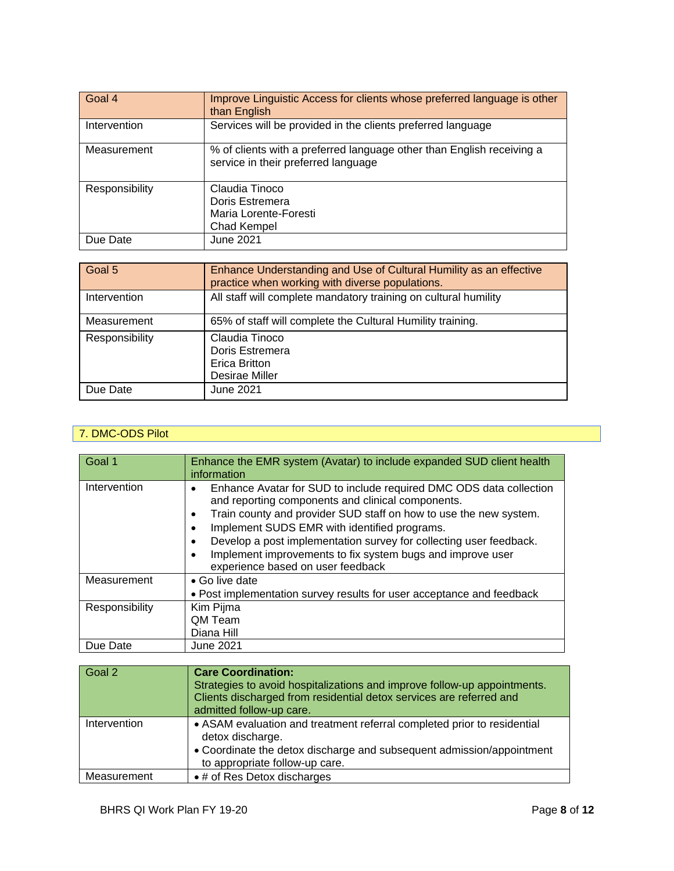| Goal 4         | Improve Linguistic Access for clients whose preferred language is other<br>than English                      |
|----------------|--------------------------------------------------------------------------------------------------------------|
| Intervention   | Services will be provided in the clients preferred language                                                  |
| Measurement    | % of clients with a preferred language other than English receiving a<br>service in their preferred language |
| Responsibility | Claudia Tinoco<br>Doris Estremera<br>Maria Lorente-Foresti<br>Chad Kempel                                    |
| Due Date       | June 2021                                                                                                    |

| Goal 5         | Enhance Understanding and Use of Cultural Humility as an effective<br>practice when working with diverse populations. |
|----------------|-----------------------------------------------------------------------------------------------------------------------|
| Intervention   | All staff will complete mandatory training on cultural humility                                                       |
| Measurement    | 65% of staff will complete the Cultural Humility training.                                                            |
| Responsibility | Claudia Tinoco<br>Doris Estremera<br>Erica Britton<br>Desirae Miller                                                  |
| Due Date       | June 2021                                                                                                             |

#### 7. DMC-ODS Pilot

| Goal 1         | Enhance the EMR system (Avatar) to include expanded SUD client health<br>information                                                                                                                                                                                                                                                                                                                                                                                   |
|----------------|------------------------------------------------------------------------------------------------------------------------------------------------------------------------------------------------------------------------------------------------------------------------------------------------------------------------------------------------------------------------------------------------------------------------------------------------------------------------|
| Intervention   | Enhance Avatar for SUD to include required DMC ODS data collection<br>٠<br>and reporting components and clinical components.<br>Train county and provider SUD staff on how to use the new system.<br>٠<br>Implement SUDS EMR with identified programs.<br>$\bullet$<br>Develop a post implementation survey for collecting user feedback.<br>$\bullet$<br>Implement improvements to fix system bugs and improve user<br>$\bullet$<br>experience based on user feedback |
| Measurement    | • Go live date<br>• Post implementation survey results for user acceptance and feedback                                                                                                                                                                                                                                                                                                                                                                                |
| Responsibility | Kim Pijma<br><b>QM Team</b><br>Diana Hill                                                                                                                                                                                                                                                                                                                                                                                                                              |
| Due Date       | June 2021                                                                                                                                                                                                                                                                                                                                                                                                                                                              |

| <b>Care Coordination:</b><br>Strategies to avoid hospitalizations and improve follow-up appointments.<br>Clients discharged from residential detox services are referred and<br>admitted follow-up care. |
|----------------------------------------------------------------------------------------------------------------------------------------------------------------------------------------------------------|
| • ASAM evaluation and treatment referral completed prior to residential<br>detox discharge.<br>• Coordinate the detox discharge and subsequent admission/appointment<br>to appropriate follow-up care.   |
| • # of Res Detox discharges                                                                                                                                                                              |
|                                                                                                                                                                                                          |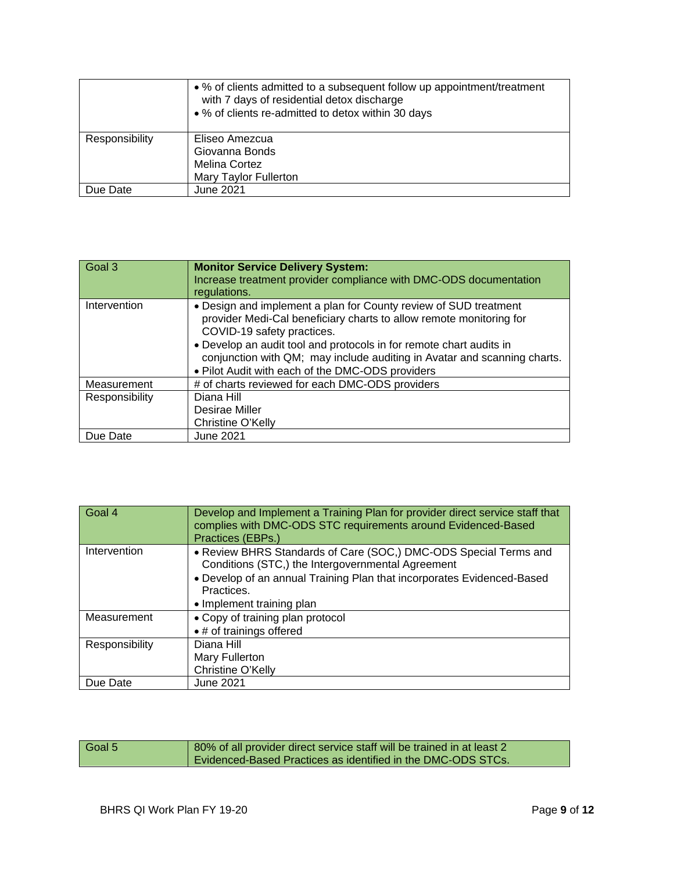|                | • % of clients admitted to a subsequent follow up appointment/treatment<br>with 7 days of residential detox discharge<br>• % of clients re-admitted to detox within 30 days |
|----------------|-----------------------------------------------------------------------------------------------------------------------------------------------------------------------------|
| Responsibility | Eliseo Amezcua                                                                                                                                                              |
|                | Giovanna Bonds                                                                                                                                                              |
|                | <b>Melina Cortez</b>                                                                                                                                                        |
|                | <b>Mary Taylor Fullerton</b>                                                                                                                                                |
| Due Date       | June 2021                                                                                                                                                                   |

| Goal 3         | <b>Monitor Service Delivery System:</b><br>Increase treatment provider compliance with DMC-ODS documentation<br>regulations.                                                                                                                                                                                                                                                 |
|----------------|------------------------------------------------------------------------------------------------------------------------------------------------------------------------------------------------------------------------------------------------------------------------------------------------------------------------------------------------------------------------------|
| Intervention   | • Design and implement a plan for County review of SUD treatment<br>provider Medi-Cal beneficiary charts to allow remote monitoring for<br>COVID-19 safety practices.<br>• Develop an audit tool and protocols in for remote chart audits in<br>conjunction with QM; may include auditing in Avatar and scanning charts.<br>. Pilot Audit with each of the DMC-ODS providers |
| Measurement    | # of charts reviewed for each DMC-ODS providers                                                                                                                                                                                                                                                                                                                              |
| Responsibility | Diana Hill<br>Desirae Miller<br>Christine O'Kelly                                                                                                                                                                                                                                                                                                                            |
| Due Date       | <b>June 2021</b>                                                                                                                                                                                                                                                                                                                                                             |

| Goal 4         | Develop and Implement a Training Plan for provider direct service staff that<br>complies with DMC-ODS STC requirements around Evidenced-Based<br>Practices (EBPs.)                                                                         |
|----------------|--------------------------------------------------------------------------------------------------------------------------------------------------------------------------------------------------------------------------------------------|
| Intervention   | • Review BHRS Standards of Care (SOC,) DMC-ODS Special Terms and<br>Conditions (STC,) the Intergovernmental Agreement<br>• Develop of an annual Training Plan that incorporates Evidenced-Based<br>Practices.<br>• Implement training plan |
| Measurement    | • Copy of training plan protocol<br>• # of trainings offered                                                                                                                                                                               |
| Responsibility | Diana Hill<br>Mary Fullerton<br>Christine O'Kelly                                                                                                                                                                                          |
| Due Date       | <b>June 2021</b>                                                                                                                                                                                                                           |

| Goal 5 | 80% of all provider direct service staff will be trained in at least 2 |
|--------|------------------------------------------------------------------------|
|        | Evidenced-Based Practices as identified in the DMC-ODS STCs.           |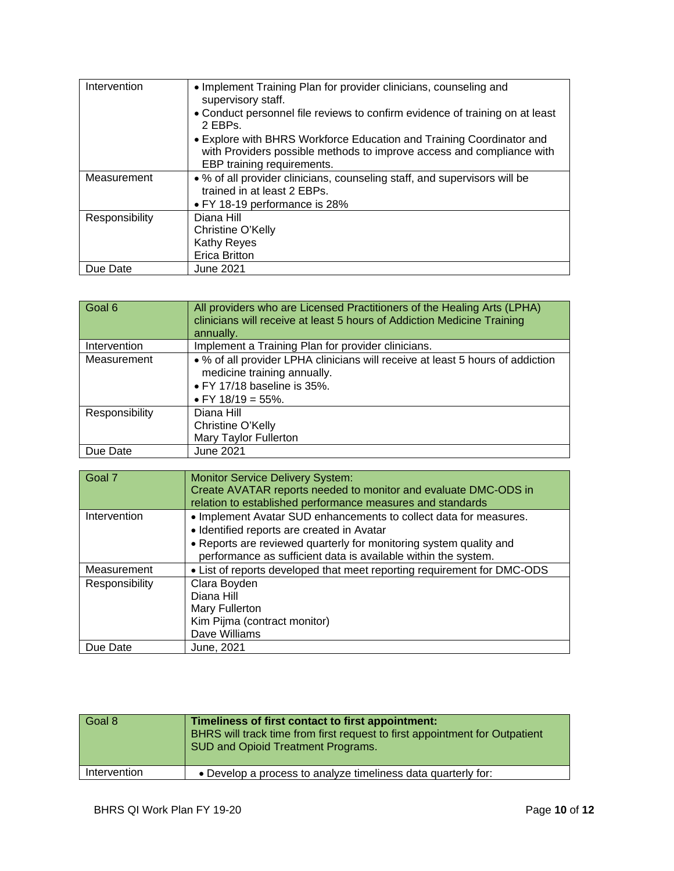| Intervention   | • Implement Training Plan for provider clinicians, counseling and<br>supervisory staff.<br>• Conduct personnel file reviews to confirm evidence of training on at least<br>2 EBPs.<br>• Explore with BHRS Workforce Education and Training Coordinator and<br>with Providers possible methods to improve access and compliance with |
|----------------|-------------------------------------------------------------------------------------------------------------------------------------------------------------------------------------------------------------------------------------------------------------------------------------------------------------------------------------|
|                | EBP training requirements.                                                                                                                                                                                                                                                                                                          |
| Measurement    | • % of all provider clinicians, counseling staff, and supervisors will be<br>trained in at least 2 EBPs.<br>• FY 18-19 performance is 28%                                                                                                                                                                                           |
| Responsibility | Diana Hill                                                                                                                                                                                                                                                                                                                          |
|                | Christine O'Kelly                                                                                                                                                                                                                                                                                                                   |
|                | Kathy Reyes                                                                                                                                                                                                                                                                                                                         |
|                | <b>Erica Britton</b>                                                                                                                                                                                                                                                                                                                |
| Due Date       | June 2021                                                                                                                                                                                                                                                                                                                           |

| Goal 6         | All providers who are Licensed Practitioners of the Healing Arts (LPHA)<br>clinicians will receive at least 5 hours of Addiction Medicine Training<br>annually.       |
|----------------|-----------------------------------------------------------------------------------------------------------------------------------------------------------------------|
| Intervention   | Implement a Training Plan for provider clinicians.                                                                                                                    |
| Measurement    | • % of all provider LPHA clinicians will receive at least 5 hours of addiction<br>medicine training annually.<br>• FY 17/18 baseline is 35%.<br>• FY $18/19 = 55\%$ . |
| Responsibility | Diana Hill<br>Christine O'Kelly<br>Mary Taylor Fullerton                                                                                                              |
| Due Date       | June 2021                                                                                                                                                             |

| Goal 7         | <b>Monitor Service Delivery System:</b><br>Create AVATAR reports needed to monitor and evaluate DMC-ODS in<br>relation to established performance measures and standards                                                                                |
|----------------|---------------------------------------------------------------------------------------------------------------------------------------------------------------------------------------------------------------------------------------------------------|
| Intervention   | • Implement Avatar SUD enhancements to collect data for measures.<br>• Identified reports are created in Avatar<br>• Reports are reviewed quarterly for monitoring system quality and<br>performance as sufficient data is available within the system. |
| Measurement    | • List of reports developed that meet reporting requirement for DMC-ODS                                                                                                                                                                                 |
| Responsibility | Clara Boyden<br>Diana Hill<br>Mary Fullerton<br>Kim Pijma (contract monitor)<br>Dave Williams                                                                                                                                                           |
| Due Date       | June, 2021                                                                                                                                                                                                                                              |

| Goal 8       | Timeliness of first contact to first appointment:<br>BHRS will track time from first request to first appointment for Outpatient<br>SUD and Opioid Treatment Programs. |
|--------------|------------------------------------------------------------------------------------------------------------------------------------------------------------------------|
| Intervention | • Develop a process to analyze timeliness data quarterly for:                                                                                                          |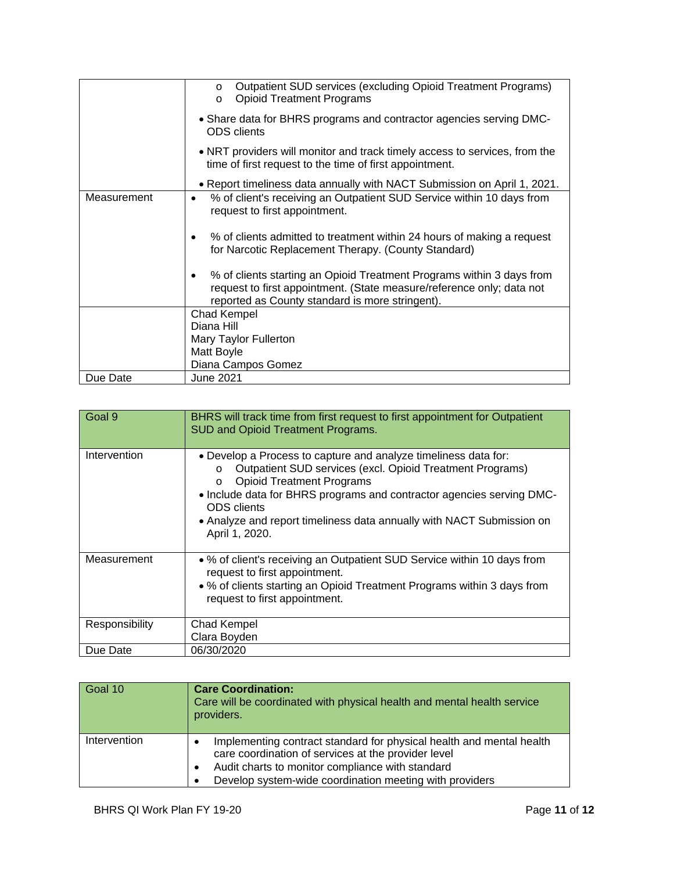|             | Outpatient SUD services (excluding Opioid Treatment Programs)<br>$\circ$<br><b>Opioid Treatment Programs</b><br>$\circ$                                                                                |
|-------------|--------------------------------------------------------------------------------------------------------------------------------------------------------------------------------------------------------|
|             | • Share data for BHRS programs and contractor agencies serving DMC-<br><b>ODS</b> clients                                                                                                              |
|             | . NRT providers will monitor and track timely access to services, from the<br>time of first request to the time of first appointment.                                                                  |
|             | • Report timeliness data annually with NACT Submission on April 1, 2021.                                                                                                                               |
| Measurement | % of client's receiving an Outpatient SUD Service within 10 days from<br>request to first appointment.                                                                                                 |
|             | % of clients admitted to treatment within 24 hours of making a request<br>٠<br>for Narcotic Replacement Therapy. (County Standard)                                                                     |
|             | % of clients starting an Opioid Treatment Programs within 3 days from<br>٠<br>request to first appointment. (State measure/reference only; data not<br>reported as County standard is more stringent). |
|             | <b>Chad Kempel</b>                                                                                                                                                                                     |
|             | Diana Hill                                                                                                                                                                                             |
|             | Mary Taylor Fullerton<br>Matt Boyle                                                                                                                                                                    |
|             | Diana Campos Gomez                                                                                                                                                                                     |
| Due Date    | June 2021                                                                                                                                                                                              |

| Goal 9         | BHRS will track time from first request to first appointment for Outpatient<br><b>SUD and Opioid Treatment Programs.</b>                                                                                                                                                                                                                                                          |
|----------------|-----------------------------------------------------------------------------------------------------------------------------------------------------------------------------------------------------------------------------------------------------------------------------------------------------------------------------------------------------------------------------------|
| Intervention   | • Develop a Process to capture and analyze timeliness data for:<br>Outpatient SUD services (excl. Opioid Treatment Programs)<br>$\circ$<br><b>Opioid Treatment Programs</b><br>$\Omega$<br>• Include data for BHRS programs and contractor agencies serving DMC-<br><b>ODS</b> clients<br>• Analyze and report timeliness data annually with NACT Submission on<br>April 1, 2020. |
| Measurement    | • % of client's receiving an Outpatient SUD Service within 10 days from<br>request to first appointment.<br>• % of clients starting an Opioid Treatment Programs within 3 days from<br>request to first appointment.                                                                                                                                                              |
| Responsibility | <b>Chad Kempel</b><br>Clara Boyden                                                                                                                                                                                                                                                                                                                                                |
| Due Date       | 06/30/2020                                                                                                                                                                                                                                                                                                                                                                        |

| Goal 10      | <b>Care Coordination:</b><br>Care will be coordinated with physical health and mental health service<br>providers.                                                                                                                                                   |
|--------------|----------------------------------------------------------------------------------------------------------------------------------------------------------------------------------------------------------------------------------------------------------------------|
| Intervention | Implementing contract standard for physical health and mental health<br>$\bullet$<br>care coordination of services at the provider level<br>Audit charts to monitor compliance with standard<br>$\bullet$<br>Develop system-wide coordination meeting with providers |